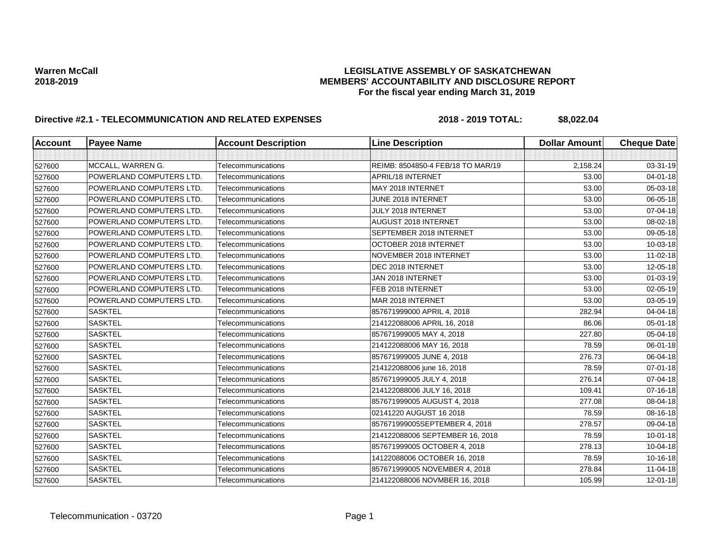| <b>Account</b> | <b>Payee Name</b>               | <b>Account Description</b> | <b>Line Description</b>           | <b>Dollar Amount</b> | <b>Cheque Date</b> |
|----------------|---------------------------------|----------------------------|-----------------------------------|----------------------|--------------------|
|                |                                 |                            |                                   |                      |                    |
| 527600         | MCCALL, WARREN G.               | Telecommunications         | REIMB: 8504850-4 FEB/18 TO MAR/19 | 2,158.24             | 03-31-19           |
| 527600         | POWERLAND COMPUTERS LTD.        | Telecommunications         | APRIL/18 INTERNET                 | 53.00                | $04 - 01 - 18$     |
| 527600         | POWERLAND COMPUTERS LTD.        | Telecommunications         | MAY 2018 INTERNET                 | 53.00                | 05-03-18           |
| 527600         | POWERLAND COMPUTERS LTD.        | Telecommunications         | JUNE 2018 INTERNET                | 53.00                | 06-05-18           |
| 527600         | POWERLAND COMPUTERS LTD.        | Telecommunications         | JULY 2018 INTERNET                | 53.00                | 07-04-18           |
| 527600         | <b>POWERLAND COMPUTERS LTD.</b> | Telecommunications         | AUGUST 2018 INTERNET              | 53.00                | 08-02-18           |
| 527600         | POWERLAND COMPUTERS LTD.        | Telecommunications         | SEPTEMBER 2018 INTERNET           | 53.00                | 09-05-18           |
| 527600         | POWERLAND COMPUTERS LTD.        | Telecommunications         | OCTOBER 2018 INTERNET             | 53.00                | 10-03-18           |
| 527600         | POWERLAND COMPUTERS LTD.        | Telecommunications         | NOVEMBER 2018 INTERNET            | 53.00                | 11-02-18           |
| 527600         | POWERLAND COMPUTERS LTD.        | Telecommunications         | DEC 2018 INTERNET                 | 53.00                | 12-05-18           |
| 527600         | POWERLAND COMPUTERS LTD.        | Telecommunications         | JAN 2018 INTERNET                 | 53.00                | $01 - 03 - 19$     |
| 527600         | POWERLAND COMPUTERS LTD.        | Telecommunications         | FEB 2018 INTERNET                 | 53.00                | 02-05-19           |
| 527600         | POWERLAND COMPUTERS LTD.        | Telecommunications         | MAR 2018 INTERNET                 | 53.00                | 03-05-19           |
| 527600         | <b>SASKTEL</b>                  | Telecommunications         | 857671999000 APRIL 4, 2018        | 282.94               | 04-04-18           |
| 527600         | <b>SASKTEL</b>                  | Telecommunications         | 214122088006 APRIL 16, 2018       | 86.06                | 05-01-18           |
| 527600         | <b>SASKTEL</b>                  | Telecommunications         | 857671999005 MAY 4, 2018          | 227.80               | 05-04-18           |
| 527600         | <b>SASKTEL</b>                  | Telecommunications         | 214122088006 MAY 16, 2018         | 78.59                | 06-01-18           |
| 527600         | <b>SASKTEL</b>                  | Telecommunications         | 857671999005 JUNE 4, 2018         | 276.73               | 06-04-18           |
| 527600         | <b>SASKTEL</b>                  | Telecommunications         | 214122088006 june 16, 2018        | 78.59                | 07-01-18           |
| 527600         | <b>SASKTEL</b>                  | Telecommunications         | 857671999005 JULY 4, 2018         | 276.14               | 07-04-18           |
| 527600         | <b>SASKTEL</b>                  | Telecommunications         | 214122088006 JULY 16, 2018        | 109.41               | 07-16-18           |
| 527600         | <b>SASKTEL</b>                  | Telecommunications         | 857671999005 AUGUST 4, 2018       | 277.08               | 08-04-18           |
| 527600         | <b>SASKTEL</b>                  | Telecommunications         | 02141220 AUGUST 16 2018           | 78.59                | 08-16-18           |
| 527600         | <b>SASKTEL</b>                  | Telecommunications         | 857671999005SEPTEMBER 4, 2018     | 278.57               | 09-04-18           |
| 527600         | <b>SASKTEL</b>                  | Telecommunications         | 214122088006 SEPTEMBER 16, 2018   | 78.59                | 10-01-18           |
| 527600         | <b>SASKTEL</b>                  | Telecommunications         | 857671999005 OCTOBER 4, 2018      | 278.13               | 10-04-18           |
| 527600         | <b>SASKTEL</b>                  | Telecommunications         | 14122088006 OCTOBER 16, 2018      | 78.59                | 10-16-18           |
| 527600         | <b>SASKTEL</b>                  | Telecommunications         | 857671999005 NOVEMBER 4, 2018     | 278.84               | 11-04-18           |
| 527600         | <b>SASKTEL</b>                  | Telecommunications         | 214122088006 NOVMBER 16, 2018     | 105.99               | 12-01-18           |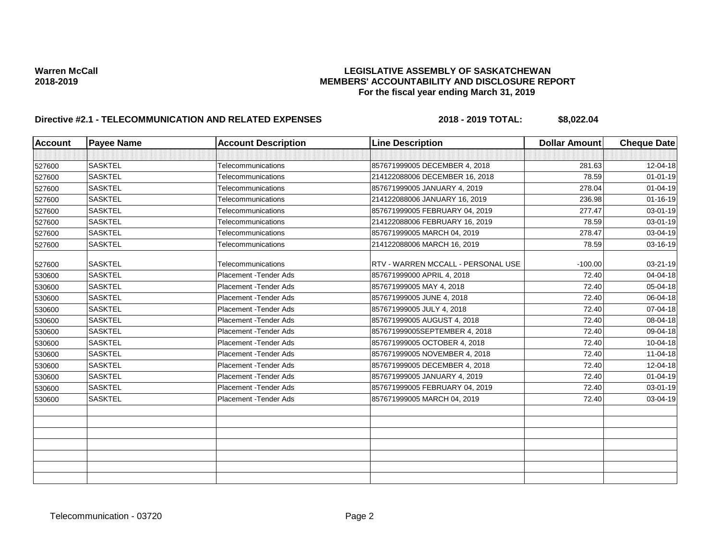| <b>Account</b> | <b>Payee Name</b> | <b>Account Description</b> | <b>Line Description</b>            | <b>Dollar Amount</b> | <b>Cheque Date</b> |
|----------------|-------------------|----------------------------|------------------------------------|----------------------|--------------------|
|                |                   |                            |                                    |                      |                    |
| 527600         | <b>SASKTEL</b>    | Telecommunications         | 857671999005 DECEMBER 4, 2018      | 281.63               | 12-04-18           |
| 527600         | <b>SASKTEL</b>    | Telecommunications         | 214122088006 DECEMBER 16, 2018     | 78.59                | $01 - 01 - 19$     |
| 527600         | <b>SASKTEL</b>    | Telecommunications         | 857671999005 JANUARY 4, 2019       | 278.04               | $01 - 04 - 19$     |
| 527600         | <b>SASKTEL</b>    | Telecommunications         | 214122088006 JANUARY 16, 2019      | 236.98               | $01 - 16 - 19$     |
| 527600         | <b>SASKTEL</b>    | Telecommunications         | 857671999005 FEBRUARY 04, 2019     | 277.47               | 03-01-19           |
| 527600         | <b>SASKTEL</b>    | Telecommunications         | 214122088006 FEBRUARY 16, 2019     | 78.59                | 03-01-19           |
| 527600         | <b>SASKTEL</b>    | Telecommunications         | 857671999005 MARCH 04, 2019        | 278.47               | 03-04-19           |
| 527600         | <b>SASKTEL</b>    | Telecommunications         | 214122088006 MARCH 16, 2019        | 78.59                | 03-16-19           |
| 527600         | <b>SASKTEL</b>    | Telecommunications         | RTV - WARREN MCCALL - PERSONAL USE | $-100.00$            | 03-21-19           |
| 530600         | <b>SASKTEL</b>    | Placement - Tender Ads     | 857671999000 APRIL 4, 2018         | 72.40                | 04-04-18           |
| 530600         | <b>SASKTEL</b>    | Placement - Tender Ads     | 857671999005 MAY 4, 2018           | 72.40                | 05-04-18           |
| 530600         | <b>SASKTEL</b>    | Placement - Tender Ads     | 857671999005 JUNE 4, 2018          | 72.40                | 06-04-18           |
| 530600         | <b>SASKTEL</b>    | Placement - Tender Ads     | 857671999005 JULY 4, 2018          | 72.40                | 07-04-18           |
| 530600         | <b>SASKTEL</b>    | Placement - Tender Ads     | 857671999005 AUGUST 4, 2018        | 72.40                | 08-04-18           |
| 530600         | <b>SASKTEL</b>    | Placement - Tender Ads     | 857671999005SEPTEMBER 4, 2018      | 72.40                | 09-04-18           |
| 530600         | <b>SASKTEL</b>    | Placement - Tender Ads     | 857671999005 OCTOBER 4, 2018       | 72.40                | 10-04-18           |
| 530600         | <b>SASKTEL</b>    | Placement - Tender Ads     | 857671999005 NOVEMBER 4, 2018      | 72.40                | 11-04-18           |
| 530600         | <b>SASKTEL</b>    | Placement - Tender Ads     | 857671999005 DECEMBER 4, 2018      | 72.40                | 12-04-18           |
| 530600         | <b>SASKTEL</b>    | Placement - Tender Ads     | 857671999005 JANUARY 4, 2019       | 72.40                | $01 - 04 - 19$     |
| 530600         | <b>SASKTEL</b>    | Placement - Tender Ads     | 857671999005 FEBRUARY 04, 2019     | 72.40                | 03-01-19           |
| 530600         | <b>SASKTEL</b>    | Placement - Tender Ads     | 857671999005 MARCH 04, 2019        | 72.40                | 03-04-19           |
|                |                   |                            |                                    |                      |                    |
|                |                   |                            |                                    |                      |                    |
|                |                   |                            |                                    |                      |                    |
|                |                   |                            |                                    |                      |                    |
|                |                   |                            |                                    |                      |                    |
|                |                   |                            |                                    |                      |                    |
|                |                   |                            |                                    |                      |                    |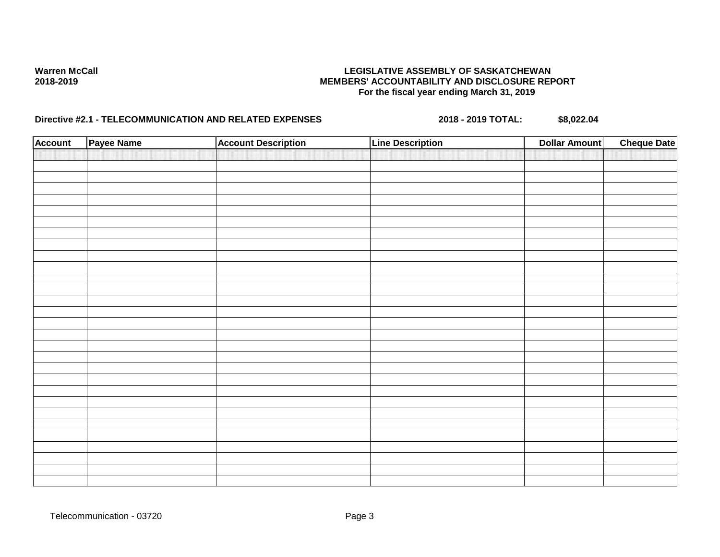| <b>Account</b> | Payee Name | <b>Account Description</b> | <b>Line Description</b> | <b>Dollar Amount</b> | <b>Cheque Date</b> |
|----------------|------------|----------------------------|-------------------------|----------------------|--------------------|
|                |            |                            |                         |                      |                    |
|                |            |                            |                         |                      |                    |
|                |            |                            |                         |                      |                    |
|                |            |                            |                         |                      |                    |
|                |            |                            |                         |                      |                    |
|                |            |                            |                         |                      |                    |
|                |            |                            |                         |                      |                    |
|                |            |                            |                         |                      |                    |
|                |            |                            |                         |                      |                    |
|                |            |                            |                         |                      |                    |
|                |            |                            |                         |                      |                    |
|                |            |                            |                         |                      |                    |
|                |            |                            |                         |                      |                    |
|                |            |                            |                         |                      |                    |
|                |            |                            |                         |                      |                    |
|                |            |                            |                         |                      |                    |
|                |            |                            |                         |                      |                    |
|                |            |                            |                         |                      |                    |
|                |            |                            |                         |                      |                    |
|                |            |                            |                         |                      |                    |
|                |            |                            |                         |                      |                    |
|                |            |                            |                         |                      |                    |
|                |            |                            |                         |                      |                    |
|                |            |                            |                         |                      |                    |
|                |            |                            |                         |                      |                    |
|                |            |                            |                         |                      |                    |
|                |            |                            |                         |                      |                    |
|                |            |                            |                         |                      |                    |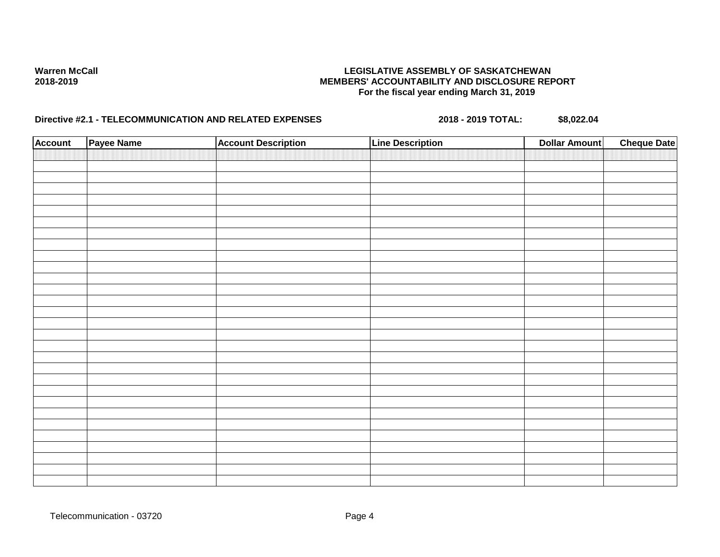| <b>Account</b> | Payee Name | <b>Account Description</b> | <b>Line Description</b> | <b>Dollar Amount</b> | <b>Cheque Date</b> |
|----------------|------------|----------------------------|-------------------------|----------------------|--------------------|
|                |            |                            |                         |                      |                    |
|                |            |                            |                         |                      |                    |
|                |            |                            |                         |                      |                    |
|                |            |                            |                         |                      |                    |
|                |            |                            |                         |                      |                    |
|                |            |                            |                         |                      |                    |
|                |            |                            |                         |                      |                    |
|                |            |                            |                         |                      |                    |
|                |            |                            |                         |                      |                    |
|                |            |                            |                         |                      |                    |
|                |            |                            |                         |                      |                    |
|                |            |                            |                         |                      |                    |
|                |            |                            |                         |                      |                    |
|                |            |                            |                         |                      |                    |
|                |            |                            |                         |                      |                    |
|                |            |                            |                         |                      |                    |
|                |            |                            |                         |                      |                    |
|                |            |                            |                         |                      |                    |
|                |            |                            |                         |                      |                    |
|                |            |                            |                         |                      |                    |
|                |            |                            |                         |                      |                    |
|                |            |                            |                         |                      |                    |
|                |            |                            |                         |                      |                    |
|                |            |                            |                         |                      |                    |
|                |            |                            |                         |                      |                    |
|                |            |                            |                         |                      |                    |
|                |            |                            |                         |                      |                    |
|                |            |                            |                         |                      |                    |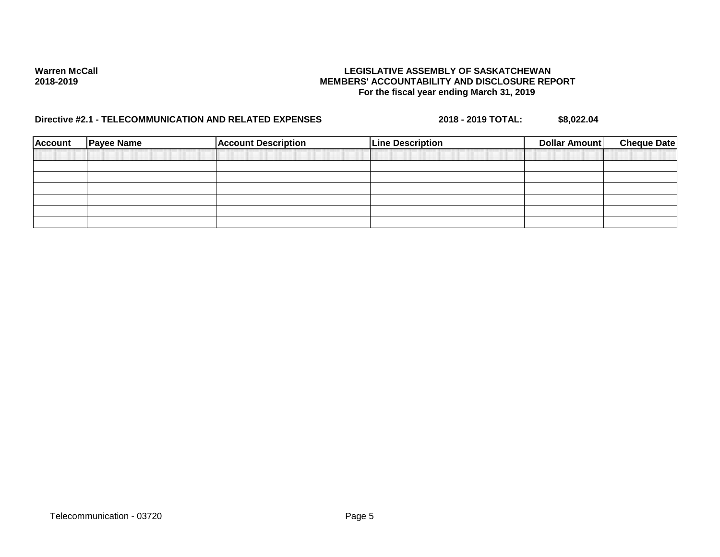| <b>Payee Name</b> | <b>Account Description</b> | <b>Line Description</b> | Dollar Amount | <b>Cheque Date</b> |
|-------------------|----------------------------|-------------------------|---------------|--------------------|
|                   |                            |                         |               |                    |
|                   |                            |                         |               |                    |
|                   |                            |                         |               |                    |
|                   |                            |                         |               |                    |
|                   |                            |                         |               |                    |
|                   |                            |                         |               |                    |
|                   |                            |                         |               |                    |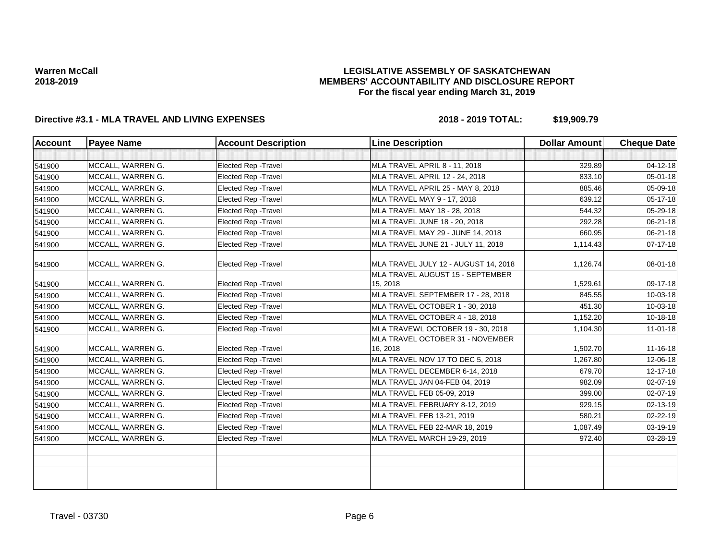## **LEGISLATIVE ASSEMBLY OF SASKATCHEWAN MEMBERS' ACCOUNTABILITY AND DISCLOSURE REPORT For the fiscal year ending March 31, 2019**

| <b>Account</b> | <b>Payee Name</b> | <b>Account Description</b>  | <b>Line Description</b>                      | <b>Dollar Amount</b> | <b>Cheque Date</b> |
|----------------|-------------------|-----------------------------|----------------------------------------------|----------------------|--------------------|
|                |                   |                             |                                              |                      |                    |
| 541900         | MCCALL, WARREN G. | Elected Rep - Travel        | <b>MLA TRAVEL APRIL 8 - 11, 2018</b>         | 329.89               | 04-12-18           |
| 541900         | MCCALL, WARREN G. | Elected Rep - Travel        | <b>MLA TRAVEL APRIL 12 - 24, 2018</b>        | 833.10               | 05-01-18           |
| 541900         | MCCALL, WARREN G. | Elected Rep - Travel        | MLA TRAVEL APRIL 25 - MAY 8, 2018            | 885.46               | 05-09-18           |
| 541900         | MCCALL, WARREN G. | <b>Elected Rep - Travel</b> | MLA TRAVEL MAY 9 - 17, 2018                  | 639.12               | 05-17-18           |
| 541900         | MCCALL, WARREN G. | <b>Elected Rep - Travel</b> | MLA TRAVEL MAY 18 - 28, 2018                 | 544.32               | 05-29-18           |
| 541900         | MCCALL, WARREN G. | Elected Rep - Travel        | MLA TRAVEL JUNE 18 - 20, 2018                | 292.28               | 06-21-18           |
| 541900         | MCCALL, WARREN G. | Elected Rep - Travel        | MLA TRAVEL MAY 29 - JUNE 14, 2018            | 660.95               | 06-21-18           |
| 541900         | MCCALL, WARREN G. | Elected Rep - Travel        | MLA TRAVEL JUNE 21 - JULY 11, 2018           | 1,114.43             | 07-17-18           |
| 541900         | MCCALL, WARREN G. | <b>Elected Rep - Travel</b> | MLA TRAVEL JULY 12 - AUGUST 14, 2018         | 1,126.74             | 08-01-18           |
| 541900         | MCCALL, WARREN G. | Elected Rep - Travel        | MLA TRAVEL AUGUST 15 - SEPTEMBER<br>15, 2018 | 1,529.61             | 09-17-18           |
| 541900         | MCCALL, WARREN G. | <b>Elected Rep - Travel</b> | MLA TRAVEL SEPTEMBER 17 - 28, 2018           | 845.55               | 10-03-18           |
| 541900         | MCCALL, WARREN G. | <b>Elected Rep - Travel</b> | MLA TRAVEL OCTOBER 1 - 30, 2018              | 451.30               | 10-03-18           |
| 541900         | MCCALL, WARREN G. | <b>Elected Rep - Travel</b> | MLA TRAVEL OCTOBER 4 - 18, 2018              | 1,152.20             | $10 - 18 - 18$     |
| 541900         | MCCALL, WARREN G. | Elected Rep - Travel        | MLA TRAVEWL OCTOBER 19 - 30, 2018            | 1,104.30             | $11-01-18$         |
| 541900         | MCCALL, WARREN G. | <b>Elected Rep - Travel</b> | MLA TRAVEL OCTOBER 31 - NOVEMBER<br>16, 2018 | 1,502.70             | 11-16-18           |
| 541900         | MCCALL, WARREN G. | Elected Rep - Travel        | MLA TRAVEL NOV 17 TO DEC 5, 2018             | 1,267.80             | 12-06-18           |
| 541900         | MCCALL, WARREN G. | <b>Elected Rep - Travel</b> | MLA TRAVEL DECEMBER 6-14, 2018               | 679.70               | 12-17-18           |
| 541900         | MCCALL, WARREN G. | <b>Elected Rep - Travel</b> | MLA TRAVEL JAN 04-FEB 04, 2019               | 982.09               | 02-07-19           |
| 541900         | MCCALL, WARREN G. | Elected Rep - Travel        | MLA TRAVEL FEB 05-09, 2019                   | 399.00               | 02-07-19           |
| 541900         | MCCALL, WARREN G. | Elected Rep - Travel        | MLA TRAVEL FEBRUARY 8-12, 2019               | 929.15               | 02-13-19           |
| 541900         | MCCALL, WARREN G. | Elected Rep - Travel        | MLA TRAVEL FEB 13-21, 2019                   | 580.21               | 02-22-19           |
| 541900         | MCCALL, WARREN G. | Elected Rep - Travel        | MLA TRAVEL FEB 22-MAR 18, 2019               | 1,087.49             | 03-19-19           |
| 541900         | MCCALL, WARREN G. | Elected Rep - Travel        | MLA TRAVEL MARCH 19-29, 2019                 | 972.40               | 03-28-19           |
|                |                   |                             |                                              |                      |                    |
|                |                   |                             |                                              |                      |                    |
|                |                   |                             |                                              |                      |                    |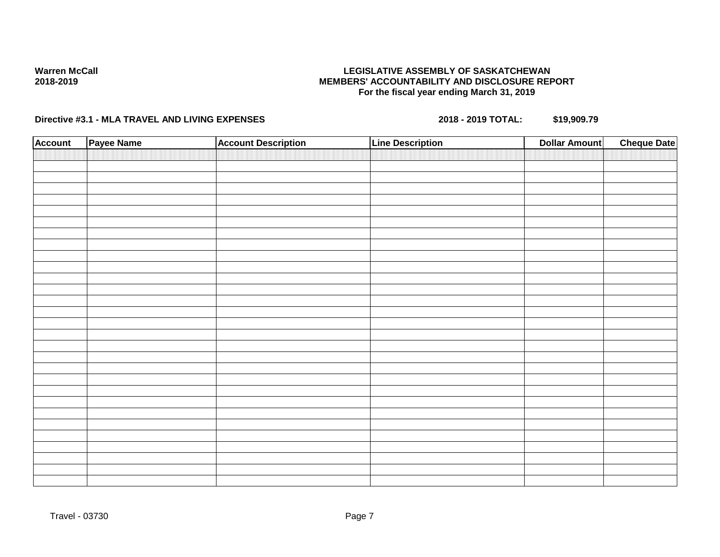## **LEGISLATIVE ASSEMBLY OF SASKATCHEWAN MEMBERS' ACCOUNTABILITY AND DISCLOSURE REPORT For the fiscal year ending March 31, 2019**

| <b>Account</b> | Payee Name | <b>Account Description</b> | <b>Line Description</b> | <b>Cheque Date</b><br><b>Dollar Amount</b> |
|----------------|------------|----------------------------|-------------------------|--------------------------------------------|
|                |            |                            |                         |                                            |
|                |            |                            |                         |                                            |
|                |            |                            |                         |                                            |
|                |            |                            |                         |                                            |
|                |            |                            |                         |                                            |
|                |            |                            |                         |                                            |
|                |            |                            |                         |                                            |
|                |            |                            |                         |                                            |
|                |            |                            |                         |                                            |
|                |            |                            |                         |                                            |
|                |            |                            |                         |                                            |
|                |            |                            |                         |                                            |
|                |            |                            |                         |                                            |
|                |            |                            |                         |                                            |
|                |            |                            |                         |                                            |
|                |            |                            |                         |                                            |
|                |            |                            |                         |                                            |
|                |            |                            |                         |                                            |
|                |            |                            |                         |                                            |
|                |            |                            |                         |                                            |
|                |            |                            |                         |                                            |
|                |            |                            |                         |                                            |
|                |            |                            |                         |                                            |
|                |            |                            |                         |                                            |
|                |            |                            |                         |                                            |
|                |            |                            |                         |                                            |
|                |            |                            |                         |                                            |
|                |            |                            |                         |                                            |
|                |            |                            |                         |                                            |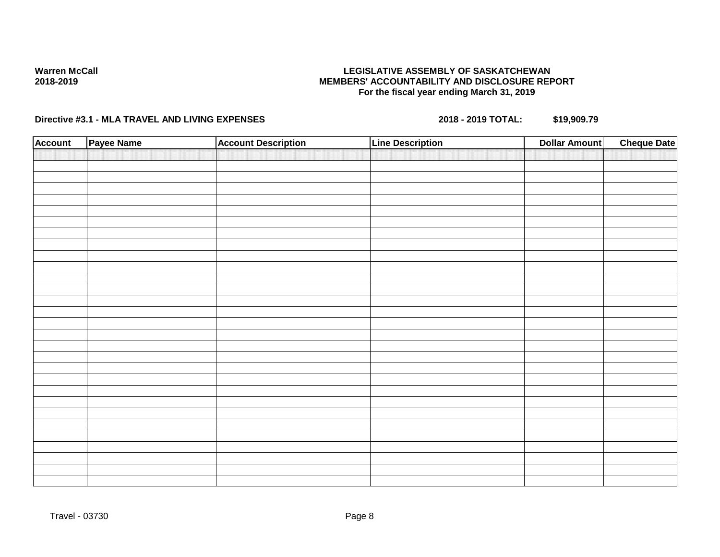## **LEGISLATIVE ASSEMBLY OF SASKATCHEWAN MEMBERS' ACCOUNTABILITY AND DISCLOSURE REPORT For the fiscal year ending March 31, 2019**

| <b>Account</b> | Payee Name | <b>Account Description</b> | <b>Line Description</b> | <b>Dollar Amount</b> | <b>Cheque Date</b> |
|----------------|------------|----------------------------|-------------------------|----------------------|--------------------|
|                |            |                            |                         |                      |                    |
|                |            |                            |                         |                      |                    |
|                |            |                            |                         |                      |                    |
|                |            |                            |                         |                      |                    |
|                |            |                            |                         |                      |                    |
|                |            |                            |                         |                      |                    |
|                |            |                            |                         |                      |                    |
|                |            |                            |                         |                      |                    |
|                |            |                            |                         |                      |                    |
|                |            |                            |                         |                      |                    |
|                |            |                            |                         |                      |                    |
|                |            |                            |                         |                      |                    |
|                |            |                            |                         |                      |                    |
|                |            |                            |                         |                      |                    |
|                |            |                            |                         |                      |                    |
|                |            |                            |                         |                      |                    |
|                |            |                            |                         |                      |                    |
|                |            |                            |                         |                      |                    |
|                |            |                            |                         |                      |                    |
|                |            |                            |                         |                      |                    |
|                |            |                            |                         |                      |                    |
|                |            |                            |                         |                      |                    |
|                |            |                            |                         |                      |                    |
|                |            |                            |                         |                      |                    |
|                |            |                            |                         |                      |                    |
|                |            |                            |                         |                      |                    |
|                |            |                            |                         |                      |                    |
|                |            |                            |                         |                      |                    |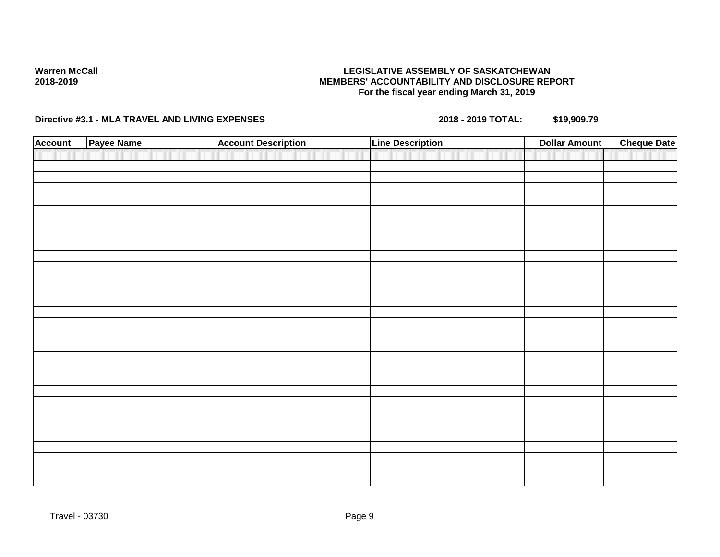## **LEGISLATIVE ASSEMBLY OF SASKATCHEWAN MEMBERS' ACCOUNTABILITY AND DISCLOSURE REPORT For the fiscal year ending March 31, 2019**

| <b>Account</b> | Payee Name | <b>Account Description</b> | <b>Line Description</b> | <b>Dollar Amount</b> | <b>Cheque Date</b> |
|----------------|------------|----------------------------|-------------------------|----------------------|--------------------|
|                |            |                            |                         |                      |                    |
|                |            |                            |                         |                      |                    |
|                |            |                            |                         |                      |                    |
|                |            |                            |                         |                      |                    |
|                |            |                            |                         |                      |                    |
|                |            |                            |                         |                      |                    |
|                |            |                            |                         |                      |                    |
|                |            |                            |                         |                      |                    |
|                |            |                            |                         |                      |                    |
|                |            |                            |                         |                      |                    |
|                |            |                            |                         |                      |                    |
|                |            |                            |                         |                      |                    |
|                |            |                            |                         |                      |                    |
|                |            |                            |                         |                      |                    |
|                |            |                            |                         |                      |                    |
|                |            |                            |                         |                      |                    |
|                |            |                            |                         |                      |                    |
|                |            |                            |                         |                      |                    |
|                |            |                            |                         |                      |                    |
|                |            |                            |                         |                      |                    |
|                |            |                            |                         |                      |                    |
|                |            |                            |                         |                      |                    |
|                |            |                            |                         |                      |                    |
|                |            |                            |                         |                      |                    |
|                |            |                            |                         |                      |                    |
|                |            |                            |                         |                      |                    |
|                |            |                            |                         |                      |                    |
|                |            |                            |                         |                      |                    |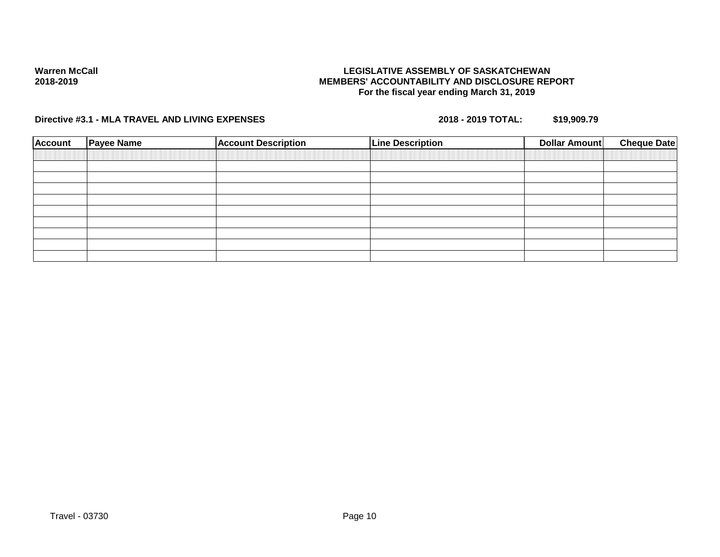## **LEGISLATIVE ASSEMBLY OF SASKATCHEWAN MEMBERS' ACCOUNTABILITY AND DISCLOSURE REPORT For the fiscal year ending March 31, 2019**

| <b>Account</b> | <b>Payee Name</b> | <b>Account Description</b> | <b>Line Description</b> | Dollar Amount | <b>Cheque Date</b> |
|----------------|-------------------|----------------------------|-------------------------|---------------|--------------------|
|                |                   |                            |                         |               |                    |
|                |                   |                            |                         |               |                    |
|                |                   |                            |                         |               |                    |
|                |                   |                            |                         |               |                    |
|                |                   |                            |                         |               |                    |
|                |                   |                            |                         |               |                    |
|                |                   |                            |                         |               |                    |
|                |                   |                            |                         |               |                    |
|                |                   |                            |                         |               |                    |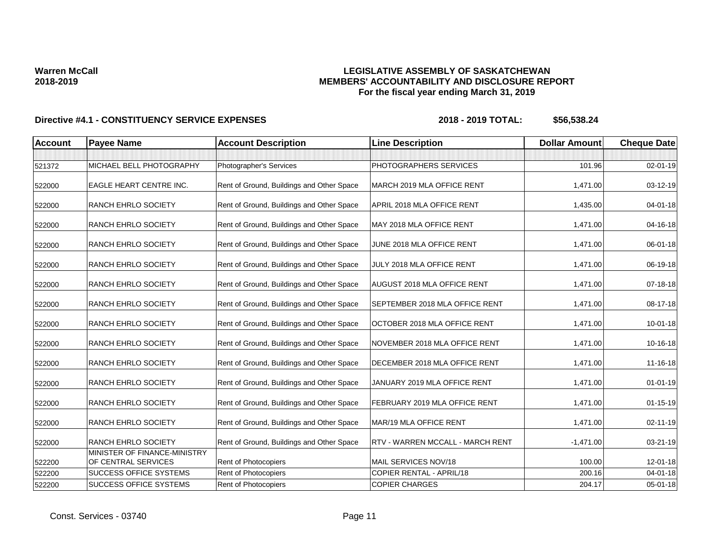## **LEGISLATIVE ASSEMBLY OF SASKATCHEWAN MEMBERS' ACCOUNTABILITY AND DISCLOSURE REPORT For the fiscal year ending March 31, 2019**

| <b>Account</b> | <b>Payee Name</b>                                   | <b>Account Description</b>                | <b>Line Description</b>                 | <b>Dollar Amount</b> | <b>Cheque Date</b> |
|----------------|-----------------------------------------------------|-------------------------------------------|-----------------------------------------|----------------------|--------------------|
|                |                                                     |                                           |                                         |                      |                    |
| 521372         | MICHAEL BELL PHOTOGRAPHY                            | Photographer's Services                   | PHOTOGRAPHERS SERVICES                  | 101.96               | 02-01-19           |
| 522000         | EAGLE HEART CENTRE INC.                             | Rent of Ground, Buildings and Other Space | MARCH 2019 MLA OFFICE RENT              | 1,471.00             | 03-12-19           |
| 522000         | <b>RANCH EHRLO SOCIETY</b>                          | Rent of Ground, Buildings and Other Space | APRIL 2018 MLA OFFICE RENT              | 1,435.00             | $04 - 01 - 18$     |
| 522000         | <b>RANCH EHRLO SOCIETY</b>                          | Rent of Ground, Buildings and Other Space | MAY 2018 MLA OFFICE RENT                | 1,471.00             | 04-16-18           |
| 522000         | <b>RANCH EHRLO SOCIETY</b>                          | Rent of Ground, Buildings and Other Space | JUNE 2018 MLA OFFICE RENT               | 1,471.00             | 06-01-18           |
| 522000         | <b>RANCH EHRLO SOCIETY</b>                          | Rent of Ground, Buildings and Other Space | JULY 2018 MLA OFFICE RENT               | 1,471.00             | 06-19-18           |
| 522000         | <b>RANCH EHRLO SOCIETY</b>                          | Rent of Ground, Buildings and Other Space | <b>AUGUST 2018 MLA OFFICE RENT</b>      | 1,471.00             | 07-18-18           |
| 522000         | <b>RANCH EHRLO SOCIETY</b>                          | Rent of Ground, Buildings and Other Space | SEPTEMBER 2018 MLA OFFICE RENT          | 1,471.00             | 08-17-18           |
| 522000         | <b>RANCH EHRLO SOCIETY</b>                          | Rent of Ground, Buildings and Other Space | OCTOBER 2018 MLA OFFICE RENT            | 1,471.00             | $10 - 01 - 18$     |
| 522000         | <b>RANCH EHRLO SOCIETY</b>                          | Rent of Ground, Buildings and Other Space | NOVEMBER 2018 MLA OFFICE RENT           | 1,471.00             | 10-16-18           |
| 522000         | <b>RANCH EHRLO SOCIETY</b>                          | Rent of Ground, Buildings and Other Space | DECEMBER 2018 MLA OFFICE RENT           | 1,471.00             | 11-16-18           |
| 522000         | <b>RANCH EHRLO SOCIETY</b>                          | Rent of Ground, Buildings and Other Space | JANUARY 2019 MLA OFFICE RENT            | 1,471.00             | $01 - 01 - 19$     |
| 522000         | <b>RANCH EHRLO SOCIETY</b>                          | Rent of Ground, Buildings and Other Space | FEBRUARY 2019 MLA OFFICE RENT           | 1,471.00             | $01 - 15 - 19$     |
| 522000         | <b>RANCH EHRLO SOCIETY</b>                          | Rent of Ground, Buildings and Other Space | MAR/19 MLA OFFICE RENT                  | 1,471.00             | 02-11-19           |
| 522000         | <b>RANCH EHRLO SOCIETY</b>                          | Rent of Ground, Buildings and Other Space | <b>RTV - WARREN MCCALL - MARCH RENT</b> | $-1,471.00$          | 03-21-19           |
| 522200         | MINISTER OF FINANCE-MINISTRY<br>OF CENTRAL SERVICES | <b>Rent of Photocopiers</b>               | MAIL SERVICES NOV/18                    | 100.00               | 12-01-18           |
| 522200         | <b>SUCCESS OFFICE SYSTEMS</b>                       | Rent of Photocopiers                      | <b>COPIER RENTAL - APRIL/18</b>         | 200.16               | $04 - 01 - 18$     |
| 522200         | <b>SUCCESS OFFICE SYSTEMS</b>                       | <b>Rent of Photocopiers</b>               | <b>COPIER CHARGES</b>                   | 204.17               | 05-01-18           |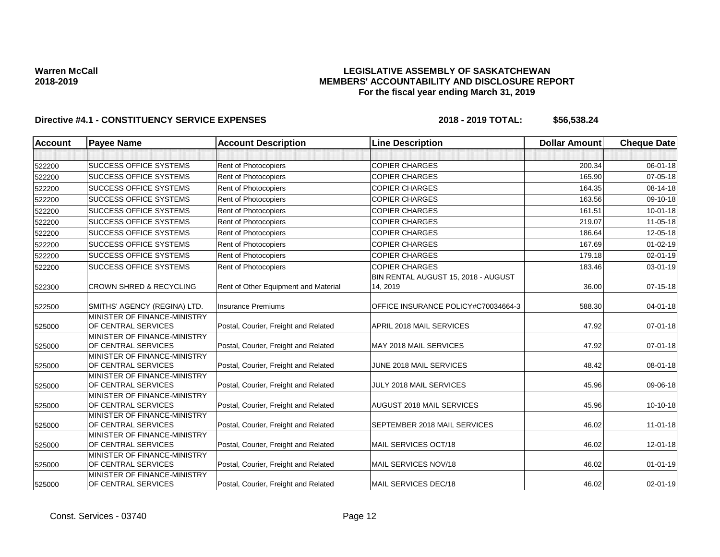## **LEGISLATIVE ASSEMBLY OF SASKATCHEWAN MEMBERS' ACCOUNTABILITY AND DISCLOSURE REPORT For the fiscal year ending March 31, 2019**

| <b>Account</b> | <b>Payee Name</b>                                           | <b>Account Description</b>           | <b>Line Description</b>             | <b>Dollar Amount</b> | <b>Cheque Date</b> |
|----------------|-------------------------------------------------------------|--------------------------------------|-------------------------------------|----------------------|--------------------|
|                |                                                             |                                      |                                     |                      |                    |
| 522200         | <b>ISUCCESS OFFICE SYSTEMS</b>                              | <b>Rent of Photocopiers</b>          | <b>COPIER CHARGES</b>               | 200.34               | 06-01-18           |
| 522200         | <b>SUCCESS OFFICE SYSTEMS</b>                               | Rent of Photocopiers                 | <b>COPIER CHARGES</b>               | 165.90               | $07 - 05 - 18$     |
| 522200         | <b>SUCCESS OFFICE SYSTEMS</b>                               | Rent of Photocopiers                 | <b>COPIER CHARGES</b>               | 164.35               | 08-14-18           |
| 522200         | <b>SUCCESS OFFICE SYSTEMS</b>                               | Rent of Photocopiers                 | <b>COPIER CHARGES</b>               | 163.56               | 09-10-18           |
| 522200         | SUCCESS OFFICE SYSTEMS                                      | Rent of Photocopiers                 | <b>COPIER CHARGES</b>               | 161.51               | $10 - 01 - 18$     |
| 522200         | <b>SUCCESS OFFICE SYSTEMS</b>                               | Rent of Photocopiers                 | <b>COPIER CHARGES</b>               | 219.07               | $11 - 05 - 18$     |
| 522200         | <b>SUCCESS OFFICE SYSTEMS</b>                               | Rent of Photocopiers                 | <b>COPIER CHARGES</b>               | 186.64               | 12-05-18           |
| 522200         | <b>SUCCESS OFFICE SYSTEMS</b>                               | Rent of Photocopiers                 | <b>COPIER CHARGES</b>               | 167.69               | $01 - 02 - 19$     |
| 522200         | <b>SUCCESS OFFICE SYSTEMS</b>                               | Rent of Photocopiers                 | <b>COPIER CHARGES</b>               | 179.18               | $02 - 01 - 19$     |
| 522200         | <b>SUCCESS OFFICE SYSTEMS</b>                               | Rent of Photocopiers                 | <b>COPIER CHARGES</b>               | 183.46               | 03-01-19           |
|                |                                                             |                                      | BIN RENTAL AUGUST 15, 2018 - AUGUST |                      |                    |
| 522300         | <b>CROWN SHRED &amp; RECYCLING</b>                          | Rent of Other Equipment and Material | 14, 2019                            | 36.00                | 07-15-18           |
| 522500         | SMITHS' AGENCY (REGINA) LTD.                                | <b>Insurance Premiums</b>            | OFFICE INSURANCE POLICY#C70034664-3 | 588.30               | 04-01-18           |
| 525000         | MINISTER OF FINANCE-MINISTRY<br>OF CENTRAL SERVICES         | Postal, Courier, Freight and Related | APRIL 2018 MAIL SERVICES            | 47.92                | 07-01-18           |
| 525000         | MINISTER OF FINANCE-MINISTRY<br>OF CENTRAL SERVICES         | Postal, Courier, Freight and Related | MAY 2018 MAIL SERVICES              | 47.92                | $07 - 01 - 18$     |
| 525000         | MINISTER OF FINANCE-MINISTRY<br>OF CENTRAL SERVICES         | Postal, Courier, Freight and Related | JUNE 2018 MAIL SERVICES             | 48.42                | 08-01-18           |
| 525000         | MINISTER OF FINANCE-MINISTRY<br>OF CENTRAL SERVICES         | Postal, Courier, Freight and Related | JULY 2018 MAIL SERVICES             | 45.96                | 09-06-18           |
| 525000         | MINISTER OF FINANCE-MINISTRY<br>OF CENTRAL SERVICES         | Postal, Courier, Freight and Related | AUGUST 2018 MAIL SERVICES           | 45.96                | $10-10-18$         |
| 525000         | MINISTER OF FINANCE-MINISTRY<br>OF CENTRAL SERVICES         | Postal, Courier, Freight and Related | SEPTEMBER 2018 MAIL SERVICES        | 46.02                | $11 - 01 - 18$     |
| 525000         | MINISTER OF FINANCE-MINISTRY<br>OF CENTRAL SERVICES         | Postal, Courier, Freight and Related | MAIL SERVICES OCT/18                | 46.02                | 12-01-18           |
| 525000         | <b>IMINISTER OF FINANCE-MINISTRY</b><br>OF CENTRAL SERVICES | Postal, Courier, Freight and Related | MAIL SERVICES NOV/18                | 46.02                | $01 - 01 - 19$     |
| 525000         | MINISTER OF FINANCE-MINISTRY<br>OF CENTRAL SERVICES         | Postal, Courier, Freight and Related | MAIL SERVICES DEC/18                | 46.02                | 02-01-19           |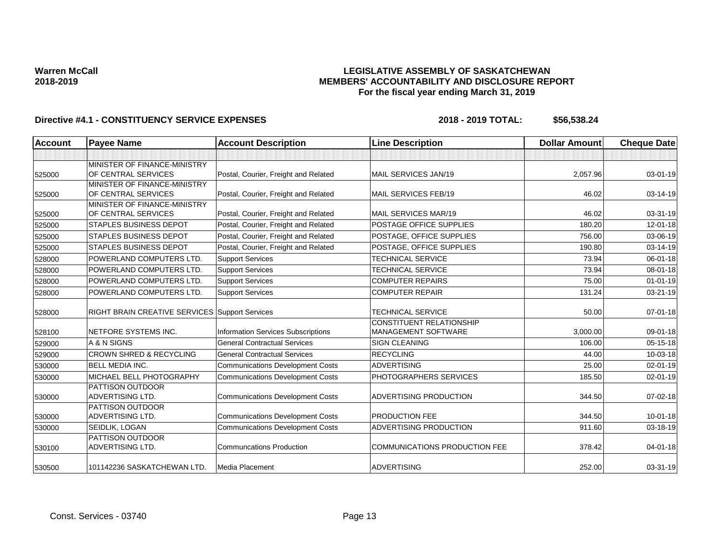## **LEGISLATIVE ASSEMBLY OF SASKATCHEWAN MEMBERS' ACCOUNTABILITY AND DISCLOSURE REPORT For the fiscal year ending March 31, 2019**

| <b>Account</b> | <b>Payee Name</b>                                     | <b>Account Description</b>                | <b>Line Description</b>                                | <b>Dollar Amount</b> | <b>Cheque Date</b> |
|----------------|-------------------------------------------------------|-------------------------------------------|--------------------------------------------------------|----------------------|--------------------|
|                |                                                       |                                           |                                                        |                      |                    |
|                | MINISTER OF FINANCE-MINISTRY                          |                                           |                                                        |                      |                    |
| 525000         | OF CENTRAL SERVICES                                   | Postal, Courier, Freight and Related      | MAIL SERVICES JAN/19                                   | 2,057.96             | $03 - 01 - 19$     |
|                | MINISTER OF FINANCE-MINISTRY                          |                                           |                                                        |                      |                    |
| 525000         | OF CENTRAL SERVICES                                   | Postal, Courier, Freight and Related      | MAIL SERVICES FEB/19                                   | 46.02                | 03-14-19           |
|                | MINISTER OF FINANCE-MINISTRY                          |                                           |                                                        |                      |                    |
| 525000         | OF CENTRAL SERVICES                                   | Postal, Courier, Freight and Related      | MAIL SERVICES MAR/19                                   | 46.02                | 03-31-19           |
| 525000         | <b>STAPLES BUSINESS DEPOT</b>                         | Postal, Courier, Freight and Related      | POSTAGE OFFICE SUPPLIES                                | 180.20               | $12 - 01 - 18$     |
| 525000         | <b>STAPLES BUSINESS DEPOT</b>                         | Postal, Courier, Freight and Related      | POSTAGE, OFFICE SUPPLIES                               | 756.00               | 03-06-19           |
| 525000         | <b>STAPLES BUSINESS DEPOT</b>                         | Postal, Courier, Freight and Related      | POSTAGE, OFFICE SUPPLIES                               | 190.80               | 03-14-19           |
| 528000         | POWERLAND COMPUTERS LTD.                              | <b>Support Services</b>                   | <b>TECHNICAL SERVICE</b>                               | 73.94                | $06 - 01 - 18$     |
| 528000         | POWERLAND COMPUTERS LTD.                              | <b>Support Services</b>                   | <b>TECHNICAL SERVICE</b>                               | 73.94                | 08-01-18           |
| 528000         | POWERLAND COMPUTERS LTD.                              | <b>Support Services</b>                   | <b>COMPUTER REPAIRS</b>                                | 75.00                | $01 - 01 - 19$     |
| 528000         | POWERLAND COMPUTERS LTD.                              | <b>Support Services</b>                   | <b>COMPUTER REPAIR</b>                                 | 131.24               | 03-21-19           |
| 528000         | <b>RIGHT BRAIN CREATIVE SERVICES Support Services</b> |                                           | <b>TECHNICAL SERVICE</b>                               | 50.00                | $07 - 01 - 18$     |
| 528100         | NETFORE SYSTEMS INC.                                  | <b>Information Services Subscriptions</b> | CONSTITUENT RELATIONSHIP<br><b>MANAGEMENT SOFTWARE</b> | 3,000.00             | 09-01-18           |
| 529000         | A & N SIGNS                                           | <b>General Contractual Services</b>       | <b>SIGN CLEANING</b>                                   | 106.00               | $05 - 15 - 18$     |
| 529000         | CROWN SHRED & RECYCLING                               | <b>General Contractual Services</b>       | <b>RECYCLING</b>                                       | 44.00                | 10-03-18           |
| 530000         | <b>BELL MEDIA INC.</b>                                | <b>Communications Development Costs</b>   | <b>ADVERTISING</b>                                     | 25.00                | 02-01-19           |
| 530000         | MICHAEL BELL PHOTOGRAPHY                              | <b>Communications Development Costs</b>   | PHOTOGRAPHERS SERVICES                                 | 185.50               | 02-01-19           |
| 530000         | PATTISON OUTDOOR<br><b>ADVERTISING LTD.</b>           | <b>Communications Development Costs</b>   | ADVERTISING PRODUCTION                                 | 344.50               | $07 - 02 - 18$     |
| 530000         | PATTISON OUTDOOR<br>ADVERTISING LTD.                  | <b>Communications Development Costs</b>   | <b>PRODUCTION FEE</b>                                  | 344.50               | $10 - 01 - 18$     |
| 530000         | SEIDLIK, LOGAN                                        | <b>Communications Development Costs</b>   | ADVERTISING PRODUCTION                                 | 911.60               | 03-18-19           |
| 530100         | PATTISON OUTDOOR<br>ADVERTISING LTD.                  | <b>Communcations Production</b>           | <b>COMMUNICATIONS PRODUCTION FEE</b>                   | 378.42               | 04-01-18           |
| 530500         | 101142236 SASKATCHEWAN LTD.                           | Media Placement                           | <b>ADVERTISING</b>                                     | 252.00               | 03-31-19           |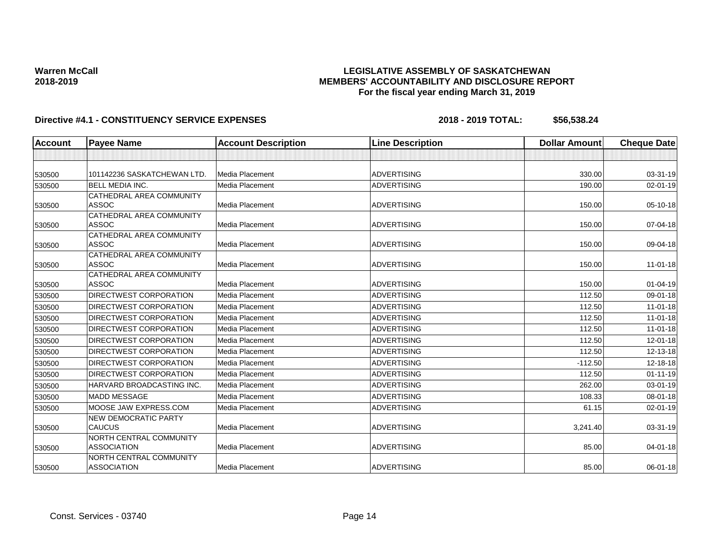## **LEGISLATIVE ASSEMBLY OF SASKATCHEWAN MEMBERS' ACCOUNTABILITY AND DISCLOSURE REPORT For the fiscal year ending March 31, 2019**

| Account | <b>Payee Name</b>             | <b>Account Description</b> | <b>Line Description</b> | <b>Dollar Amount</b> | <b>Cheque Date</b> |
|---------|-------------------------------|----------------------------|-------------------------|----------------------|--------------------|
|         |                               |                            |                         |                      |                    |
| 530500  | 101142236 SASKATCHEWAN LTD.   | Media Placement            | <b>ADVERTISING</b>      | 330.00               | 03-31-19           |
| 530500  | <b>BELL MEDIA INC.</b>        | Media Placement            | <b>ADVERTISING</b>      | 190.00               | $02 - 01 - 19$     |
|         | CATHEDRAL AREA COMMUNITY      |                            |                         |                      |                    |
| 530500  | <b>ASSOC</b>                  | <b>Media Placement</b>     | <b>ADVERTISING</b>      | 150.00               | 05-10-18           |
|         | CATHEDRAL AREA COMMUNITY      |                            |                         |                      |                    |
| 530500  | <b>ASSOC</b>                  | <b>Media Placement</b>     | <b>ADVERTISING</b>      | 150.00               | 07-04-18           |
|         | CATHEDRAL AREA COMMUNITY      |                            |                         |                      |                    |
| 530500  | <b>ASSOC</b>                  | Media Placement            | <b>ADVERTISING</b>      | 150.00               | 09-04-18           |
|         | CATHEDRAL AREA COMMUNITY      |                            |                         |                      |                    |
| 530500  | <b>ASSOC</b>                  | <b>Media Placement</b>     | <b>ADVERTISING</b>      | 150.00               | $11-01-18$         |
|         | CATHEDRAL AREA COMMUNITY      |                            |                         |                      |                    |
| 530500  | <b>ASSOC</b>                  | Media Placement            | <b>ADVERTISING</b>      | 150.00               | $01 - 04 - 19$     |
| 530500  | <b>DIRECTWEST CORPORATION</b> | Media Placement            | <b>ADVERTISING</b>      | 112.50               | 09-01-18           |
| 530500  | <b>DIRECTWEST CORPORATION</b> | Media Placement            | <b>ADVERTISING</b>      | 112.50               | $11-01-18$         |
| 530500  | <b>DIRECTWEST CORPORATION</b> | Media Placement            | <b>ADVERTISING</b>      | 112.50               | $11-01-18$         |
| 530500  | <b>DIRECTWEST CORPORATION</b> | Media Placement            | <b>ADVERTISING</b>      | 112.50               | 11-01-18           |
| 530500  | <b>DIRECTWEST CORPORATION</b> | <b>Media Placement</b>     | <b>ADVERTISING</b>      | 112.50               | 12-01-18           |
| 530500  | DIRECTWEST CORPORATION        | Media Placement            | <b>ADVERTISING</b>      | 112.50               | 12-13-18           |
| 530500  | <b>DIRECTWEST CORPORATION</b> | <b>Media Placement</b>     | <b>ADVERTISING</b>      | $-112.50$            | $12 - 18 - 18$     |
| 530500  | <b>DIRECTWEST CORPORATION</b> | <b>Media Placement</b>     | <b>ADVERTISING</b>      | 112.50               | $01 - 11 - 19$     |
| 530500  | HARVARD BROADCASTING INC.     | <b>Media Placement</b>     | <b>ADVERTISING</b>      | 262.00               | 03-01-19           |
| 530500  | <b>MADD MESSAGE</b>           | <b>Media Placement</b>     | <b>ADVERTISING</b>      | 108.33               | 08-01-18           |
| 530500  | MOOSE JAW EXPRESS.COM         | Media Placement            | <b>ADVERTISING</b>      | 61.15                | $02 - 01 - 19$     |
|         | <b>NEW DEMOCRATIC PARTY</b>   |                            |                         |                      |                    |
| 530500  | <b>CAUCUS</b>                 | Media Placement            | <b>ADVERTISING</b>      | 3,241.40             | 03-31-19           |
|         | NORTH CENTRAL COMMUNITY       |                            |                         |                      |                    |
| 530500  | <b>ASSOCIATION</b>            | <b>Media Placement</b>     | <b>ADVERTISING</b>      | 85.00                | 04-01-18           |
|         | NORTH CENTRAL COMMUNITY       |                            |                         |                      |                    |
| 530500  | <b>ASSOCIATION</b>            | Media Placement            | <b>ADVERTISING</b>      | 85.00                | 06-01-18           |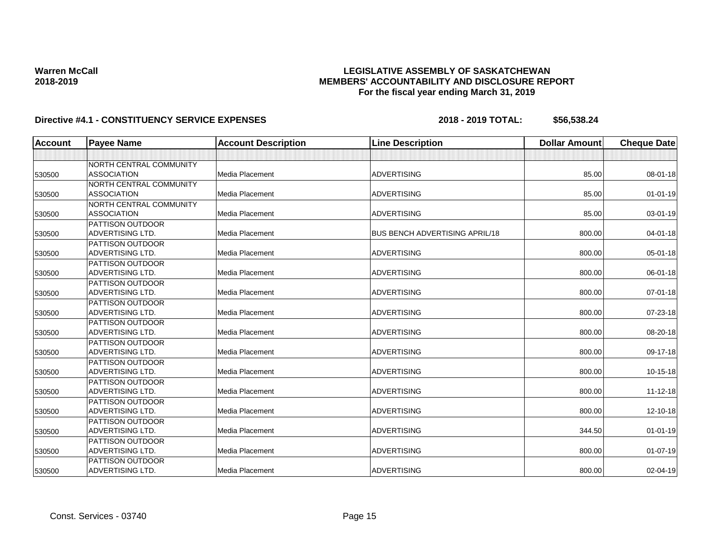## **LEGISLATIVE ASSEMBLY OF SASKATCHEWAN MEMBERS' ACCOUNTABILITY AND DISCLOSURE REPORT For the fiscal year ending March 31, 2019**

| <b>Account</b> | <b>Payee Name</b>       | <b>Account Description</b> | <b>Line Description</b>               | <b>Dollar Amount</b> | <b>Cheque Date</b> |
|----------------|-------------------------|----------------------------|---------------------------------------|----------------------|--------------------|
|                |                         |                            |                                       |                      |                    |
|                | NORTH CENTRAL COMMUNITY |                            |                                       |                      |                    |
| 530500         | <b>ASSOCIATION</b>      | Media Placement            | <b>ADVERTISING</b>                    | 85.00                | 08-01-18           |
|                | NORTH CENTRAL COMMUNITY |                            |                                       |                      |                    |
| 530500         | <b>ASSOCIATION</b>      | Media Placement            | <b>ADVERTISING</b>                    | 85.00                | $01 - 01 - 19$     |
|                | NORTH CENTRAL COMMUNITY |                            |                                       |                      |                    |
| 530500         | <b>ASSOCIATION</b>      | Media Placement            | <b>ADVERTISING</b>                    | 85.00                | 03-01-19           |
|                | <b>PATTISON OUTDOOR</b> |                            |                                       |                      |                    |
| 530500         | ADVERTISING LTD.        | Media Placement            | <b>BUS BENCH ADVERTISING APRIL/18</b> | 800.00               | 04-01-18           |
|                | <b>PATTISON OUTDOOR</b> |                            |                                       |                      |                    |
| 530500         | ADVERTISING LTD.        | Media Placement            | <b>ADVERTISING</b>                    | 800.00               | 05-01-18           |
|                | <b>PATTISON OUTDOOR</b> |                            |                                       |                      |                    |
| 530500         | <b>ADVERTISING LTD.</b> | Media Placement            | <b>ADVERTISING</b>                    | 800.00               | 06-01-18           |
|                | <b>PATTISON OUTDOOR</b> |                            |                                       |                      |                    |
| 530500         | <b>ADVERTISING LTD.</b> | Media Placement            | <b>ADVERTISING</b>                    | 800.00               | $07 - 01 - 18$     |
|                | <b>PATTISON OUTDOOR</b> |                            |                                       |                      |                    |
| 530500         | <b>ADVERTISING LTD.</b> | Media Placement            | <b>ADVERTISING</b>                    | 800.00               | 07-23-18           |
|                | <b>PATTISON OUTDOOR</b> |                            |                                       |                      |                    |
| 530500         | ADVERTISING LTD.        | Media Placement            | <b>ADVERTISING</b>                    | 800.00               | 08-20-18           |
|                | <b>PATTISON OUTDOOR</b> |                            |                                       |                      |                    |
| 530500         | <b>ADVERTISING LTD.</b> | Media Placement            | <b>ADVERTISING</b>                    | 800.00               | 09-17-18           |
|                | <b>PATTISON OUTDOOR</b> |                            |                                       |                      |                    |
| 530500         | ADVERTISING LTD.        | Media Placement            | <b>ADVERTISING</b>                    | 800.00               | $10-15-18$         |
|                | <b>PATTISON OUTDOOR</b> |                            |                                       |                      |                    |
| 530500         | <b>ADVERTISING LTD.</b> | Media Placement            | <b>ADVERTISING</b>                    | 800.00               | $11 - 12 - 18$     |
|                | <b>PATTISON OUTDOOR</b> |                            |                                       |                      |                    |
| 530500         | <b>ADVERTISING LTD.</b> | Media Placement            | <b>ADVERTISING</b>                    | 800.00               | 12-10-18           |
|                | <b>PATTISON OUTDOOR</b> |                            |                                       |                      |                    |
| 530500         | <b>ADVERTISING LTD.</b> | Media Placement            | <b>ADVERTISING</b>                    | 344.50               | $01 - 01 - 19$     |
|                | <b>PATTISON OUTDOOR</b> |                            |                                       |                      |                    |
| 530500         | ADVERTISING LTD.        | Media Placement            | <b>ADVERTISING</b>                    | 800.00               | $01 - 07 - 19$     |
|                | <b>PATTISON OUTDOOR</b> |                            |                                       |                      |                    |
| 530500         | ADVERTISING LTD.        | Media Placement            | <b>ADVERTISING</b>                    | 800.00               | 02-04-19           |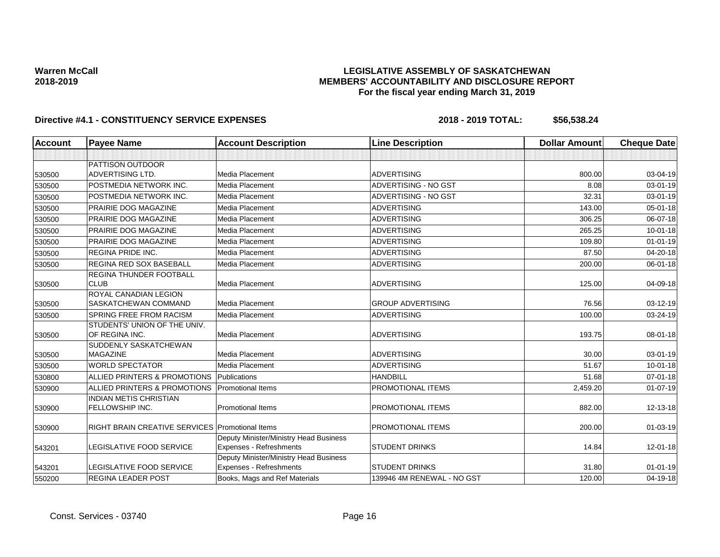## **LEGISLATIVE ASSEMBLY OF SASKATCHEWAN MEMBERS' ACCOUNTABILITY AND DISCLOSURE REPORT For the fiscal year ending March 31, 2019**

| <b>Account</b> | <b>Payee Name</b>                                      | <b>Account Description</b>                                        | <b>Line Description</b>    | <b>Dollar Amount</b> | <b>Cheque Date</b> |
|----------------|--------------------------------------------------------|-------------------------------------------------------------------|----------------------------|----------------------|--------------------|
|                |                                                        |                                                                   |                            |                      |                    |
|                | <b>PATTISON OUTDOOR</b>                                |                                                                   |                            |                      |                    |
| 530500         | <b>ADVERTISING LTD.</b>                                | Media Placement                                                   | <b>ADVERTISING</b>         | 800.00               | 03-04-19           |
| 530500         | POSTMEDIA NETWORK INC.                                 | Media Placement                                                   | ADVERTISING - NO GST       | 8.08                 | 03-01-19           |
| 530500         | POSTMEDIA NETWORK INC.                                 | <b>Media Placement</b>                                            | ADVERTISING - NO GST       | 32.31                | 03-01-19           |
| 530500         | <b>PRAIRIE DOG MAGAZINE</b>                            | Media Placement                                                   | <b>ADVERTISING</b>         | 143.00               | 05-01-18           |
| 530500         | PRAIRIE DOG MAGAZINE                                   | <b>Media Placement</b>                                            | <b>ADVERTISING</b>         | 306.25               | 06-07-18           |
| 530500         | <b>PRAIRIE DOG MAGAZINE</b>                            | <b>Media Placement</b>                                            | <b>ADVERTISING</b>         | 265.25               | $10 - 01 - 18$     |
| 530500         | PRAIRIE DOG MAGAZINE                                   | Media Placement                                                   | <b>ADVERTISING</b>         | 109.80               | $01 - 01 - 19$     |
| 530500         | <b>REGINA PRIDE INC.</b>                               | Media Placement                                                   | <b>ADVERTISING</b>         | 87.50                | 04-20-18           |
| 530500         | <b>REGINA RED SOX BASEBALL</b>                         | Media Placement                                                   | <b>ADVERTISING</b>         | 200.00               | 06-01-18           |
|                | <b>REGINA THUNDER FOOTBALL</b>                         |                                                                   |                            |                      |                    |
| 530500         | <b>CLUB</b>                                            | Media Placement                                                   | <b>ADVERTISING</b>         | 125.00               | 04-09-18           |
|                | ROYAL CANADIAN LEGION                                  |                                                                   |                            |                      |                    |
| 530500         | <b>SASKATCHEWAN COMMAND</b>                            | <b>Media Placement</b>                                            | <b>GROUP ADVERTISING</b>   | 76.56                | 03-12-19           |
| 530500         | <b>SPRING FREE FROM RACISM</b>                         | <b>Media Placement</b>                                            | <b>ADVERTISING</b>         | 100.00               | 03-24-19           |
|                | STUDENTS' UNION OF THE UNIV.                           |                                                                   |                            |                      |                    |
| 530500         | OF REGINA INC.                                         | <b>Media Placement</b>                                            | <b>ADVERTISING</b>         | 193.75               | 08-01-18           |
|                | SUDDENLY SASKATCHEWAN                                  |                                                                   |                            |                      |                    |
| 530500         | <b>MAGAZINE</b>                                        | Media Placement                                                   | <b>ADVERTISING</b>         | 30.00                | 03-01-19           |
| 530500         | <b>WORLD SPECTATOR</b>                                 | Media Placement                                                   | <b>ADVERTISING</b>         | 51.67                | $10 - 01 - 18$     |
| 530800         | ALLIED PRINTERS & PROMOTIONS                           | Publications                                                      | <b>HANDBILL</b>            | 51.68                | 07-01-18           |
| 530900         | ALLIED PRINTERS & PROMOTIONS                           | <b>Promotional Items</b>                                          | PROMOTIONAL ITEMS          | 2,459.20             | $01 - 07 - 19$     |
|                | <b>INDIAN METIS CHRISTIAN</b>                          |                                                                   |                            |                      |                    |
| 530900         | FELLOWSHIP INC.                                        | <b>Promotional Items</b>                                          | PROMOTIONAL ITEMS          | 882.00               | 12-13-18           |
|                |                                                        |                                                                   |                            |                      |                    |
| 530900         | <b>RIGHT BRAIN CREATIVE SERVICES Promotional Items</b> |                                                                   | PROMOTIONAL ITEMS          | 200.00               | $01 - 03 - 19$     |
|                | LEGISLATIVE FOOD SERVICE                               | Deputy Minister/Ministry Head Business                            | <b>STUDENT DRINKS</b>      | 14.84                | $12 - 01 - 18$     |
| 543201         |                                                        | Expenses - Refreshments<br>Deputy Minister/Ministry Head Business |                            |                      |                    |
| 543201         | <b>LEGISLATIVE FOOD SERVICE</b>                        | Expenses - Refreshments                                           | <b>STUDENT DRINKS</b>      | 31.80                | $01 - 01 - 19$     |
| 550200         | <b>REGINA LEADER POST</b>                              | Books, Mags and Ref Materials                                     | 139946 4M RENEWAL - NO GST | 120.00               | 04-19-18           |
|                |                                                        |                                                                   |                            |                      |                    |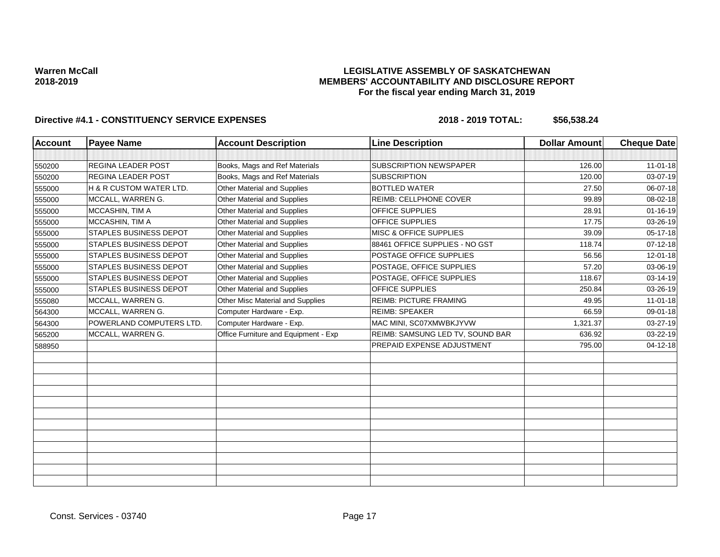## **LEGISLATIVE ASSEMBLY OF SASKATCHEWAN MEMBERS' ACCOUNTABILITY AND DISCLOSURE REPORT For the fiscal year ending March 31, 2019**

| <b>Account</b> | <b>Payee Name</b>             | <b>Account Description</b>           | <b>Line Description</b>           | <b>Dollar Amount</b> | <b>Cheque Date</b> |
|----------------|-------------------------------|--------------------------------------|-----------------------------------|----------------------|--------------------|
|                |                               |                                      |                                   |                      |                    |
| 550200         | <b>REGINA LEADER POST</b>     | Books, Mags and Ref Materials        | <b>SUBSCRIPTION NEWSPAPER</b>     | 126.00               | $11-01-18$         |
| 550200         | REGINA LEADER POST            | Books, Mags and Ref Materials        | <b>SUBSCRIPTION</b>               | 120.00               | 03-07-19           |
| 555000         | H & R CUSTOM WATER LTD.       | Other Material and Supplies          | <b>BOTTLED WATER</b>              | 27.50                | 06-07-18           |
| 555000         | MCCALL, WARREN G.             | Other Material and Supplies          | <b>REIMB: CELLPHONE COVER</b>     | 99.89                | 08-02-18           |
| 555000         | MCCASHIN, TIM A               | Other Material and Supplies          | OFFICE SUPPLIES                   | 28.91                | $01 - 16 - 19$     |
| 555000         | MCCASHIN, TIM A               | Other Material and Supplies          | <b>OFFICE SUPPLIES</b>            | 17.75                | 03-26-19           |
| 555000         | <b>STAPLES BUSINESS DEPOT</b> | Other Material and Supplies          | <b>MISC &amp; OFFICE SUPPLIES</b> | 39.09                | $05-17-18$         |
| 555000         | <b>STAPLES BUSINESS DEPOT</b> | Other Material and Supplies          | 88461 OFFICE SUPPLIES - NO GST    | 118.74               | 07-12-18           |
| 555000         | STAPLES BUSINESS DEPOT        | <b>Other Material and Supplies</b>   | POSTAGE OFFICE SUPPLIES           | 56.56                | 12-01-18           |
| 555000         | <b>STAPLES BUSINESS DEPOT</b> | <b>Other Material and Supplies</b>   | POSTAGE, OFFICE SUPPLIES          | 57.20                | 03-06-19           |
| 555000         | <b>STAPLES BUSINESS DEPOT</b> | Other Material and Supplies          | POSTAGE, OFFICE SUPPLIES          | 118.67               | $03 - 14 - 19$     |
| 555000         | <b>STAPLES BUSINESS DEPOT</b> | Other Material and Supplies          | OFFICE SUPPLIES                   | 250.84               | 03-26-19           |
| 555080         | MCCALL, WARREN G.             | Other Misc Material and Supplies     | <b>REIMB: PICTURE FRAMING</b>     | 49.95                | $11-01-18$         |
| 564300         | MCCALL, WARREN G.             | Computer Hardware - Exp.             | <b>REIMB: SPEAKER</b>             | 66.59                | 09-01-18           |
| 564300         | POWERLAND COMPUTERS LTD.      | Computer Hardware - Exp.             | MAC MINI, SC07XMWBKJYVW           | 1,321.37             | 03-27-19           |
| 565200         | MCCALL, WARREN G.             | Office Furniture and Equipment - Exp | REIMB: SAMSUNG LED TV, SOUND BAR  | 636.92               | 03-22-19           |
| 588950         |                               |                                      | PREPAID EXPENSE ADJUSTMENT        | 795.00               | $04 - 12 - 18$     |
|                |                               |                                      |                                   |                      |                    |
|                |                               |                                      |                                   |                      |                    |
|                |                               |                                      |                                   |                      |                    |
|                |                               |                                      |                                   |                      |                    |
|                |                               |                                      |                                   |                      |                    |
|                |                               |                                      |                                   |                      |                    |
|                |                               |                                      |                                   |                      |                    |
|                |                               |                                      |                                   |                      |                    |
|                |                               |                                      |                                   |                      |                    |
|                |                               |                                      |                                   |                      |                    |
|                |                               |                                      |                                   |                      |                    |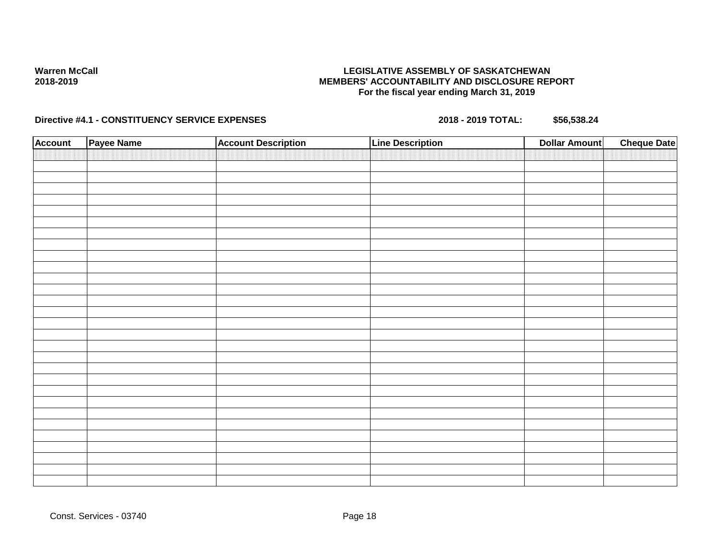## **LEGISLATIVE ASSEMBLY OF SASKATCHEWAN MEMBERS' ACCOUNTABILITY AND DISCLOSURE REPORT For the fiscal year ending March 31, 2019**

| <b>Account</b> | Payee Name | <b>Account Description</b> | <b>Line Description</b> | <b>Dollar Amount</b> | <b>Cheque Date</b> |
|----------------|------------|----------------------------|-------------------------|----------------------|--------------------|
|                |            |                            |                         |                      |                    |
|                |            |                            |                         |                      |                    |
|                |            |                            |                         |                      |                    |
|                |            |                            |                         |                      |                    |
|                |            |                            |                         |                      |                    |
|                |            |                            |                         |                      |                    |
|                |            |                            |                         |                      |                    |
|                |            |                            |                         |                      |                    |
|                |            |                            |                         |                      |                    |
|                |            |                            |                         |                      |                    |
|                |            |                            |                         |                      |                    |
|                |            |                            |                         |                      |                    |
|                |            |                            |                         |                      |                    |
|                |            |                            |                         |                      |                    |
|                |            |                            |                         |                      |                    |
|                |            |                            |                         |                      |                    |
|                |            |                            |                         |                      |                    |
|                |            |                            |                         |                      |                    |
|                |            |                            |                         |                      |                    |
|                |            |                            |                         |                      |                    |
|                |            |                            |                         |                      |                    |
|                |            |                            |                         |                      |                    |
|                |            |                            |                         |                      |                    |
|                |            |                            |                         |                      |                    |
|                |            |                            |                         |                      |                    |
|                |            |                            |                         |                      |                    |
|                |            |                            |                         |                      |                    |
|                |            |                            |                         |                      |                    |
|                |            |                            |                         |                      |                    |
|                |            |                            |                         |                      |                    |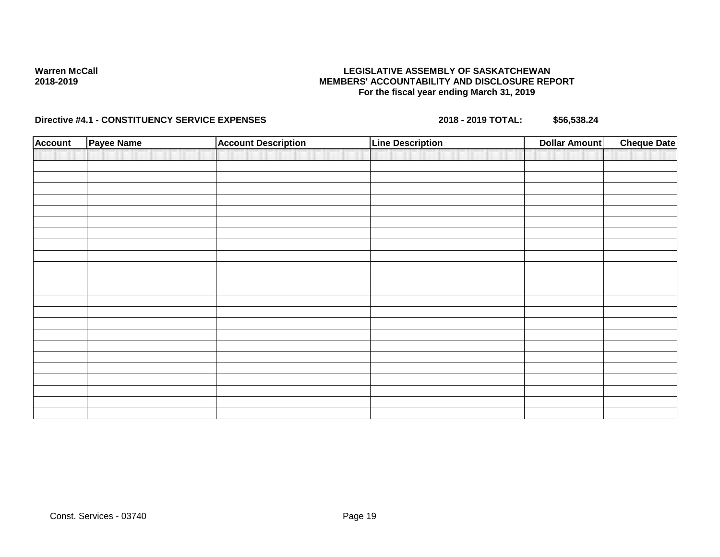## **LEGISLATIVE ASSEMBLY OF SASKATCHEWAN MEMBERS' ACCOUNTABILITY AND DISCLOSURE REPORT For the fiscal year ending March 31, 2019**

| <b>Account</b> | <b>Payee Name</b> | <b>Account Description</b> | <b>Line Description</b> | <b>Cheque Date</b><br><b>Dollar Amount</b> |  |
|----------------|-------------------|----------------------------|-------------------------|--------------------------------------------|--|
|                |                   |                            |                         |                                            |  |
|                |                   |                            |                         |                                            |  |
|                |                   |                            |                         |                                            |  |
|                |                   |                            |                         |                                            |  |
|                |                   |                            |                         |                                            |  |
|                |                   |                            |                         |                                            |  |
|                |                   |                            |                         |                                            |  |
|                |                   |                            |                         |                                            |  |
|                |                   |                            |                         |                                            |  |
|                |                   |                            |                         |                                            |  |
|                |                   |                            |                         |                                            |  |
|                |                   |                            |                         |                                            |  |
|                |                   |                            |                         |                                            |  |
|                |                   |                            |                         |                                            |  |
|                |                   |                            |                         |                                            |  |
|                |                   |                            |                         |                                            |  |
|                |                   |                            |                         |                                            |  |
|                |                   |                            |                         |                                            |  |
|                |                   |                            |                         |                                            |  |
|                |                   |                            |                         |                                            |  |
|                |                   |                            |                         |                                            |  |
|                |                   |                            |                         |                                            |  |
|                |                   |                            |                         |                                            |  |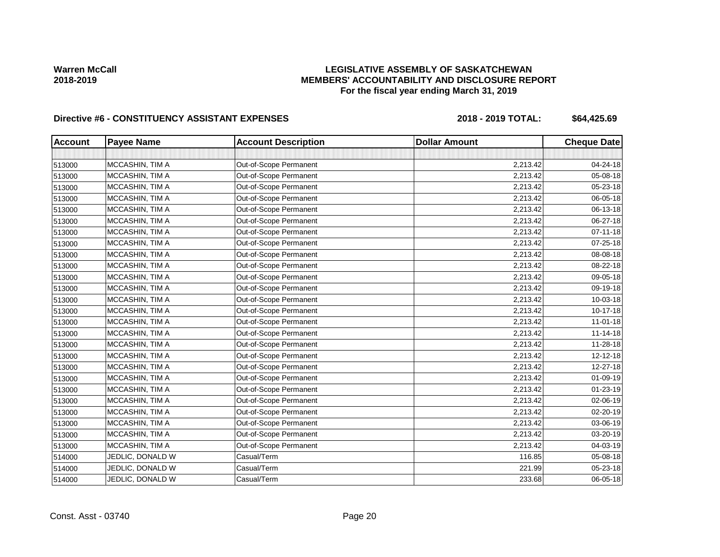# **LEGISLATIVE ASSEMBLY OF SASKATCHEWAN MEMBERS' ACCOUNTABILITY AND DISCLOSURE REPORT For the fiscal year ending March 31, 2019**

| <b>Account</b> | <b>Payee Name</b> | <b>Account Description</b> | <b>Dollar Amount</b> | <b>Cheque Date</b> |
|----------------|-------------------|----------------------------|----------------------|--------------------|
|                |                   |                            |                      |                    |
| 513000         | MCCASHIN, TIM A   | Out-of-Scope Permanent     | 2,213.42             | 04-24-18           |
| 513000         | MCCASHIN, TIM A   | Out-of-Scope Permanent     | 2,213.42             | 05-08-18           |
| 513000         | MCCASHIN, TIM A   | Out-of-Scope Permanent     | 2,213.42             | 05-23-18           |
| 513000         | MCCASHIN, TIM A   | Out-of-Scope Permanent     | 2,213.42             | 06-05-18           |
| 513000         | MCCASHIN, TIM A   | Out-of-Scope Permanent     | 2,213.42             | 06-13-18           |
| 513000         | MCCASHIN, TIM A   | Out-of-Scope Permanent     | 2,213.42             | 06-27-18           |
| 513000         | MCCASHIN, TIM A   | Out-of-Scope Permanent     | 2,213.42             | $07 - 11 - 18$     |
| 513000         | MCCASHIN, TIM A   | Out-of-Scope Permanent     | 2,213.42             | 07-25-18           |
| 513000         | MCCASHIN, TIM A   | Out-of-Scope Permanent     | 2,213.42             | 08-08-18           |
| 513000         | MCCASHIN, TIM A   | Out-of-Scope Permanent     | 2,213.42             | 08-22-18           |
| 513000         | MCCASHIN, TIM A   | Out-of-Scope Permanent     | 2,213.42             | 09-05-18           |
| 513000         | MCCASHIN, TIM A   | Out-of-Scope Permanent     | 2,213.42             | 09-19-18           |
| 513000         | MCCASHIN, TIM A   | Out-of-Scope Permanent     | 2,213.42             | 10-03-18           |
| 513000         | MCCASHIN, TIM A   | Out-of-Scope Permanent     | 2,213.42             | 10-17-18           |
| 513000         | MCCASHIN, TIM A   | Out-of-Scope Permanent     | 2,213.42             | $11 - 01 - 18$     |
| 513000         | MCCASHIN, TIM A   | Out-of-Scope Permanent     | 2,213.42             | $11 - 14 - 18$     |
| 513000         | MCCASHIN, TIM A   | Out-of-Scope Permanent     | 2,213.42             | 11-28-18           |
| 513000         | MCCASHIN, TIM A   | Out-of-Scope Permanent     | 2,213.42             | 12-12-18           |
| 513000         | MCCASHIN, TIM A   | Out-of-Scope Permanent     | 2,213.42             | 12-27-18           |
| 513000         | MCCASHIN, TIM A   | Out-of-Scope Permanent     | 2,213.42             | 01-09-19           |
| 513000         | MCCASHIN, TIM A   | Out-of-Scope Permanent     | 2,213.42             | $01 - 23 - 19$     |
| 513000         | MCCASHIN, TIM A   | Out-of-Scope Permanent     | 2,213.42             | 02-06-19           |
| 513000         | MCCASHIN, TIM A   | Out-of-Scope Permanent     | 2,213.42             | 02-20-19           |
| 513000         | MCCASHIN, TIM A   | Out-of-Scope Permanent     | 2,213.42             | 03-06-19           |
| 513000         | MCCASHIN, TIM A   | Out-of-Scope Permanent     | 2,213.42             | 03-20-19           |
| 513000         | MCCASHIN, TIM A   | Out-of-Scope Permanent     | 2,213.42             | 04-03-19           |
| 514000         | JEDLIC, DONALD W  | Casual/Term                | 116.85               | 05-08-18           |
| 514000         | JEDLIC, DONALD W  | Casual/Term                | 221.99               | 05-23-18           |
| 514000         | JEDLIC, DONALD W  | Casual/Term                | 233.68               | 06-05-18           |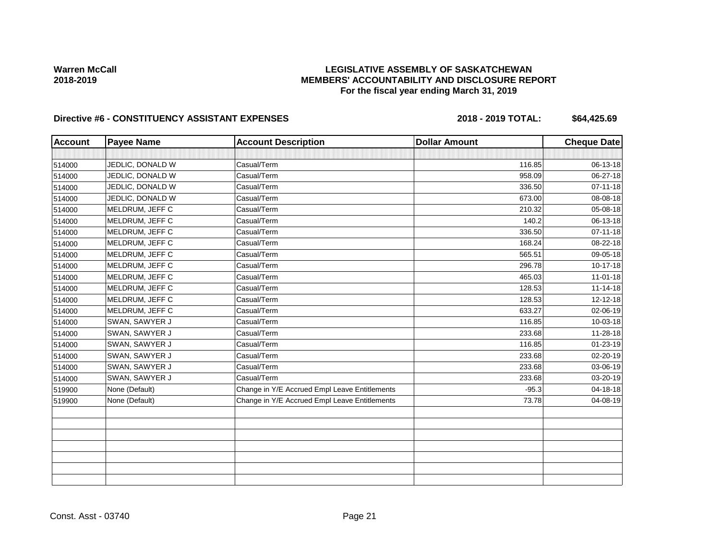# **LEGISLATIVE ASSEMBLY OF SASKATCHEWAN MEMBERS' ACCOUNTABILITY AND DISCLOSURE REPORT For the fiscal year ending March 31, 2019**

| <b>Account</b> | <b>Payee Name</b> | <b>Account Description</b>                    | <b>Dollar Amount</b> | <b>Cheque Date</b> |
|----------------|-------------------|-----------------------------------------------|----------------------|--------------------|
|                |                   |                                               |                      |                    |
| 514000         | JEDLIC, DONALD W  | Casual/Term                                   | 116.85               | 06-13-18           |
| 514000         | JEDLIC, DONALD W  | Casual/Term                                   | 958.09               | 06-27-18           |
| 514000         | JEDLIC, DONALD W  | Casual/Term                                   | 336.50               | $07 - 11 - 18$     |
| 514000         | JEDLIC, DONALD W  | Casual/Term                                   | 673.00               | 08-08-18           |
| 514000         | MELDRUM, JEFF C   | Casual/Term                                   | 210.32               | 05-08-18           |
| 514000         | MELDRUM, JEFF C   | Casual/Term                                   | 140.2                | 06-13-18           |
| 514000         | MELDRUM, JEFF C   | Casual/Term                                   | 336.50               | $07 - 11 - 18$     |
| 514000         | MELDRUM, JEFF C   | Casual/Term                                   | 168.24               | 08-22-18           |
| 514000         | MELDRUM, JEFF C   | Casual/Term                                   | 565.51               | 09-05-18           |
| 514000         | MELDRUM, JEFF C   | Casual/Term                                   | 296.78               | 10-17-18           |
| 514000         | MELDRUM, JEFF C   | Casual/Term                                   | 465.03               | $11 - 01 - 18$     |
| 514000         | MELDRUM, JEFF C   | Casual/Term                                   | 128.53               | $11 - 14 - 18$     |
| 514000         | MELDRUM, JEFF C   | Casual/Term                                   | 128.53               | $12 - 12 - 18$     |
| 514000         | MELDRUM, JEFF C   | Casual/Term                                   | 633.27               | 02-06-19           |
| 514000         | SWAN, SAWYER J    | Casual/Term                                   | 116.85               | 10-03-18           |
| 514000         | SWAN, SAWYER J    | Casual/Term                                   | 233.68               | $11 - 28 - 18$     |
| 514000         | SWAN, SAWYER J    | Casual/Term                                   | 116.85               | $01 - 23 - 19$     |
| 514000         | SWAN, SAWYER J    | Casual/Term                                   | 233.68               | 02-20-19           |
| 514000         | SWAN, SAWYER J    | Casual/Term                                   | 233.68               | 03-06-19           |
| 514000         | SWAN, SAWYER J    | Casual/Term                                   | 233.68               | 03-20-19           |
| 519900         | None (Default)    | Change in Y/E Accrued Empl Leave Entitlements | $-95.3$              | 04-18-18           |
| 519900         | None (Default)    | Change in Y/E Accrued Empl Leave Entitlements | 73.78                | 04-08-19           |
|                |                   |                                               |                      |                    |
|                |                   |                                               |                      |                    |
|                |                   |                                               |                      |                    |
|                |                   |                                               |                      |                    |
|                |                   |                                               |                      |                    |
|                |                   |                                               |                      |                    |
|                |                   |                                               |                      |                    |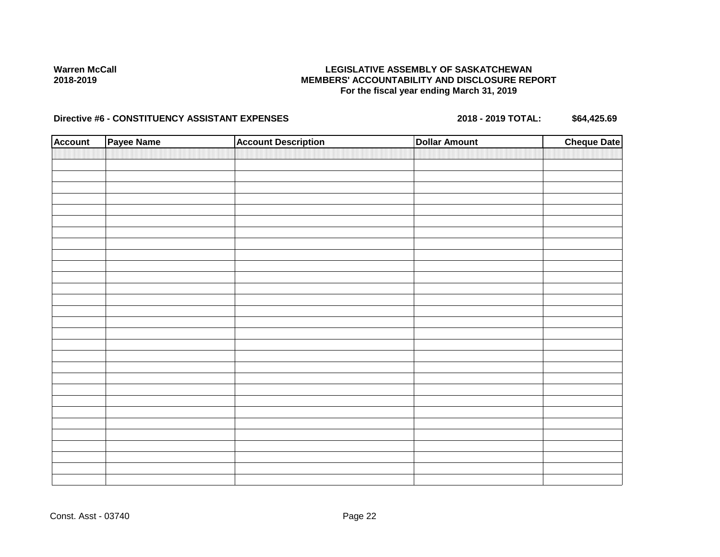# **LEGISLATIVE ASSEMBLY OF SASKATCHEWAN MEMBERS' ACCOUNTABILITY AND DISCLOSURE REPORT For the fiscal year ending March 31, 2019**

| <b>Account</b> | Payee Name | <b>Account Description</b> | <b>Dollar Amount</b> | <b>Cheque Date</b> |
|----------------|------------|----------------------------|----------------------|--------------------|
|                |            |                            |                      |                    |
|                |            |                            |                      |                    |
|                |            |                            |                      |                    |
|                |            |                            |                      |                    |
|                |            |                            |                      |                    |
|                |            |                            |                      |                    |
|                |            |                            |                      |                    |
|                |            |                            |                      |                    |
|                |            |                            |                      |                    |
|                |            |                            |                      |                    |
|                |            |                            |                      |                    |
|                |            |                            |                      |                    |
|                |            |                            |                      |                    |
|                |            |                            |                      |                    |
|                |            |                            |                      |                    |
|                |            |                            |                      |                    |
|                |            |                            |                      |                    |
|                |            |                            |                      |                    |
|                |            |                            |                      |                    |
|                |            |                            |                      |                    |
|                |            |                            |                      |                    |
|                |            |                            |                      |                    |
|                |            |                            |                      |                    |
|                |            |                            |                      |                    |
|                |            |                            |                      |                    |
|                |            |                            |                      |                    |
|                |            |                            |                      |                    |
|                |            |                            |                      |                    |
|                |            |                            |                      |                    |